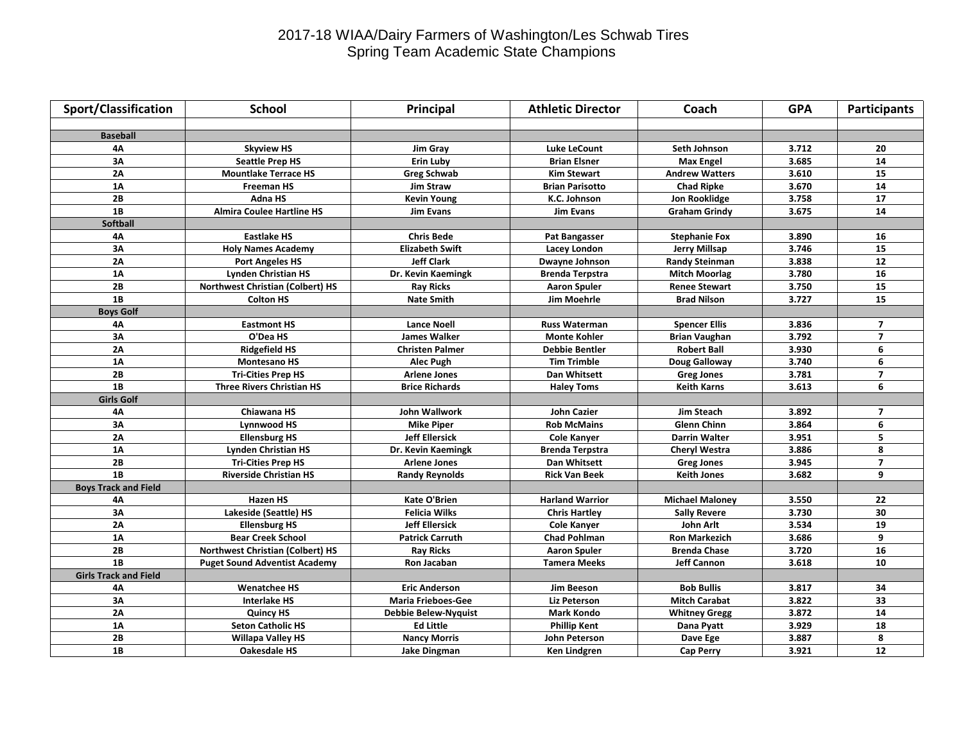## 2017-18 WIAA/Dairy Farmers of Washington/Les Schwab Tires Spring Team Academic State Champions

| <b>Baseball</b><br><b>4A</b><br><b>Skyview HS</b><br><b>Luke LeCount</b><br>Seth Johnson<br>3.712<br>20<br>Jim Gray<br>3A<br>3.685<br>14<br><b>Seattle Prep HS</b><br><b>Erin Luby</b><br><b>Brian Elsner</b><br><b>Max Engel</b><br>2A<br>3.610<br>15<br><b>Mountlake Terrace HS</b><br><b>Greg Schwab</b><br><b>Kim Stewart</b><br><b>Andrew Watters</b><br><b>1A</b><br>3.670<br>${\bf 14}$<br>Jim Straw<br><b>Chad Ripke</b><br><b>Freeman HS</b><br><b>Brian Parisotto</b><br>2B<br>17<br>Adna HS<br>3.758<br><b>Kevin Young</b><br>K.C. Johnson<br>Jon Rooklidge<br>$\overline{1B}$<br>14<br>3.675<br><b>Almira Coulee Hartline HS</b><br><b>Graham Grindy</b><br>Jim Evans<br>Jim Evans<br><b>Softball</b><br>4Α<br><b>Eastlake HS</b><br><b>Chris Bede</b><br>16<br>Pat Bangasser<br><b>Stephanie Fox</b><br>3.890<br>15<br>3A<br><b>Elizabeth Swift</b><br>3.746<br>Jerry Millsap<br><b>Holy Names Academy</b><br>Lacey London<br><b>2A</b><br><b>Jeff Clark</b><br>3.838<br>12<br><b>Port Angeles HS</b><br>Dwayne Johnson<br><b>Randy Steinman</b><br>1A<br>16<br><b>Lynden Christian HS</b><br>Dr. Kevin Kaemingk<br>3.780<br><b>Brenda Terpstra</b><br><b>Mitch Moorlag</b><br>2B<br>15<br>Northwest Christian (Colbert) HS<br>3.750<br><b>Ray Ricks</b><br><b>Aaron Spuler</b><br><b>Renee Stewart</b><br>1B<br><b>Colton HS</b><br><b>Nate Smith</b><br>Jim Moehrle<br><b>Brad Nilson</b><br>3.727<br>15<br><b>Boys Golf</b><br><b>4A</b><br><b>Eastmont HS</b><br>$\overline{7}$<br><b>Lance Noell</b><br><b>Russ Waterman</b><br><b>Spencer Ellis</b><br>3.836<br>$\overline{7}$<br>3A<br>O'Dea HS<br>3.792<br><b>James Walker</b><br><b>Monte Kohler</b><br><b>Brian Vaughan</b><br>2A<br><b>Ridgefield HS</b><br><b>Robert Ball</b><br>3.930<br>6<br><b>Christen Palmer</b><br><b>Debbie Bentler</b><br>1A<br>6<br><b>Montesano HS</b><br><b>Tim Trimble</b><br>Doug Galloway<br>3.740<br><b>Alec Pugh</b><br>2B<br>$\overline{7}$<br><b>Tri-Cities Prep HS</b><br>Dan Whitsett<br>3.781<br><b>Arlene Jones</b><br>Greg Jones<br>1B<br>6<br><b>Three Rivers Christian HS</b><br><b>Brice Richards</b><br><b>Keith Karns</b><br>3.613<br><b>Haley Toms</b><br><b>Girls Golf</b><br>4A<br>Chiawana HS<br>John Wallwork<br><b>John Cazier</b><br>$\overline{7}$<br>Jim Steach<br>3.892<br>6<br>3A<br><b>Lynnwood HS</b><br><b>Mike Piper</b><br><b>Rob McMains</b><br><b>Glenn Chinn</b><br>3.864<br>2A<br>5<br><b>Ellensburg HS</b><br><b>Jeff Ellersick</b><br>3.951<br><b>Cole Kanyer</b><br>Darrin Walter<br>1A<br>8<br>3.886<br><b>Lynden Christian HS</b><br>Dr. Kevin Kaemingk<br><b>Brenda Terpstra</b><br><b>Cheryl Westra</b><br>2B<br>$\overline{7}$<br><b>Tri-Cities Prep HS</b><br>Dan Whitsett<br>3.945<br><b>Arlene Jones</b><br><b>Greg Jones</b><br>1B<br>9<br>3.682<br><b>Riverside Christian HS</b><br><b>Rick Van Beek</b><br><b>Keith Jones</b><br><b>Randy Reynolds</b><br><b>Boys Track and Field</b><br>Kate O'Brien<br><b>Harland Warrior</b><br>22<br>4Α<br><b>Hazen HS</b><br><b>Michael Maloney</b><br>3.550<br>3A<br>30<br>Lakeside (Seattle) HS<br><b>Felicia Wilks</b><br>3.730<br><b>Chris Hartley</b><br><b>Sally Revere</b><br>2A<br>19<br><b>Jeff Ellersick</b><br>John Arlt<br>3.534<br><b>Ellensburg HS</b><br><b>Cole Kanyer</b><br>1A<br>3.686<br>9<br><b>Bear Creek School</b><br><b>Patrick Carruth</b><br><b>Chad Pohlman</b><br><b>Ron Markezich</b><br>2B<br>16<br><b>Northwest Christian (Colbert) HS</b><br><b>Ray Ricks</b><br><b>Brenda Chase</b><br>3.720<br><b>Aaron Spuler</b><br>1B<br>10<br>Ron Jacaban<br><b>Jeff Cannon</b><br>3.618<br><b>Puget Sound Adventist Academy</b><br><b>Tamera Meeks</b><br><b>Girls Track and Field</b><br>34<br>4Α<br><b>Wenatchee HS</b><br>Jim Beeson<br><b>Bob Bullis</b><br>3.817<br><b>Eric Anderson</b><br>33<br>3A<br>3.822<br><b>Interlake HS</b><br><b>Mitch Carabat</b><br><b>Maria Frieboes-Gee</b><br><b>Liz Peterson</b><br>2A<br>14<br>3.872<br><b>Quincy HS</b><br><b>Debbie Belew-Nyquist</b><br><b>Mark Kondo</b><br><b>Whitney Gregg</b><br><b>1A</b><br>18<br><b>Seton Catholic HS</b><br><b>Ed Little</b><br>3.929<br><b>Phillip Kent</b><br>Dana Pyatt<br>8<br>2B<br><b>Willapa Valley HS</b><br>3.887<br><b>Nancy Morris</b><br>John Peterson<br>Dave Ege<br>1B<br><b>Oakesdale HS</b><br>3.921<br>12<br>Jake Dingman<br>Ken Lindgren<br><b>Cap Perry</b> | <b>Sport/Classification</b> | <b>School</b> | Principal | <b>Athletic Director</b> | Coach | <b>GPA</b> | <b>Participants</b> |
|-------------------------------------------------------------------------------------------------------------------------------------------------------------------------------------------------------------------------------------------------------------------------------------------------------------------------------------------------------------------------------------------------------------------------------------------------------------------------------------------------------------------------------------------------------------------------------------------------------------------------------------------------------------------------------------------------------------------------------------------------------------------------------------------------------------------------------------------------------------------------------------------------------------------------------------------------------------------------------------------------------------------------------------------------------------------------------------------------------------------------------------------------------------------------------------------------------------------------------------------------------------------------------------------------------------------------------------------------------------------------------------------------------------------------------------------------------------------------------------------------------------------------------------------------------------------------------------------------------------------------------------------------------------------------------------------------------------------------------------------------------------------------------------------------------------------------------------------------------------------------------------------------------------------------------------------------------------------------------------------------------------------------------------------------------------------------------------------------------------------------------------------------------------------------------------------------------------------------------------------------------------------------------------------------------------------------------------------------------------------------------------------------------------------------------------------------------------------------------------------------------------------------------------------------------------------------------------------------------------------------------------------------------------------------------------------------------------------------------------------------------------------------------------------------------------------------------------------------------------------------------------------------------------------------------------------------------------------------------------------------------------------------------------------------------------------------------------------------------------------------------------------------------------------------------------------------------------------------------------------------------------------------------------------------------------------------------------------------------------------------------------------------------------------------------------------------------------------------------------------------------------------------------------------------------------------------------------------------------------------------------------------------------------------------------------------------------------------------------------------------------------------------------------------------------------------------------------------------------------------------------------------------------------------------------------------------------------------------------------------------------------------------------------------------------------------------------------------------------------------------------------------------------------------------------------------------------------------------------------------------------------------------------------------------------------------------------------------------------------------------------------|-----------------------------|---------------|-----------|--------------------------|-------|------------|---------------------|
|                                                                                                                                                                                                                                                                                                                                                                                                                                                                                                                                                                                                                                                                                                                                                                                                                                                                                                                                                                                                                                                                                                                                                                                                                                                                                                                                                                                                                                                                                                                                                                                                                                                                                                                                                                                                                                                                                                                                                                                                                                                                                                                                                                                                                                                                                                                                                                                                                                                                                                                                                                                                                                                                                                                                                                                                                                                                                                                                                                                                                                                                                                                                                                                                                                                                                                                                                                                                                                                                                                                                                                                                                                                                                                                                                                                                                                                                                                                                                                                                                                                                                                                                                                                                                                                                                                                                                                                     |                             |               |           |                          |       |            |                     |
|                                                                                                                                                                                                                                                                                                                                                                                                                                                                                                                                                                                                                                                                                                                                                                                                                                                                                                                                                                                                                                                                                                                                                                                                                                                                                                                                                                                                                                                                                                                                                                                                                                                                                                                                                                                                                                                                                                                                                                                                                                                                                                                                                                                                                                                                                                                                                                                                                                                                                                                                                                                                                                                                                                                                                                                                                                                                                                                                                                                                                                                                                                                                                                                                                                                                                                                                                                                                                                                                                                                                                                                                                                                                                                                                                                                                                                                                                                                                                                                                                                                                                                                                                                                                                                                                                                                                                                                     |                             |               |           |                          |       |            |                     |
|                                                                                                                                                                                                                                                                                                                                                                                                                                                                                                                                                                                                                                                                                                                                                                                                                                                                                                                                                                                                                                                                                                                                                                                                                                                                                                                                                                                                                                                                                                                                                                                                                                                                                                                                                                                                                                                                                                                                                                                                                                                                                                                                                                                                                                                                                                                                                                                                                                                                                                                                                                                                                                                                                                                                                                                                                                                                                                                                                                                                                                                                                                                                                                                                                                                                                                                                                                                                                                                                                                                                                                                                                                                                                                                                                                                                                                                                                                                                                                                                                                                                                                                                                                                                                                                                                                                                                                                     |                             |               |           |                          |       |            |                     |
|                                                                                                                                                                                                                                                                                                                                                                                                                                                                                                                                                                                                                                                                                                                                                                                                                                                                                                                                                                                                                                                                                                                                                                                                                                                                                                                                                                                                                                                                                                                                                                                                                                                                                                                                                                                                                                                                                                                                                                                                                                                                                                                                                                                                                                                                                                                                                                                                                                                                                                                                                                                                                                                                                                                                                                                                                                                                                                                                                                                                                                                                                                                                                                                                                                                                                                                                                                                                                                                                                                                                                                                                                                                                                                                                                                                                                                                                                                                                                                                                                                                                                                                                                                                                                                                                                                                                                                                     |                             |               |           |                          |       |            |                     |
|                                                                                                                                                                                                                                                                                                                                                                                                                                                                                                                                                                                                                                                                                                                                                                                                                                                                                                                                                                                                                                                                                                                                                                                                                                                                                                                                                                                                                                                                                                                                                                                                                                                                                                                                                                                                                                                                                                                                                                                                                                                                                                                                                                                                                                                                                                                                                                                                                                                                                                                                                                                                                                                                                                                                                                                                                                                                                                                                                                                                                                                                                                                                                                                                                                                                                                                                                                                                                                                                                                                                                                                                                                                                                                                                                                                                                                                                                                                                                                                                                                                                                                                                                                                                                                                                                                                                                                                     |                             |               |           |                          |       |            |                     |
|                                                                                                                                                                                                                                                                                                                                                                                                                                                                                                                                                                                                                                                                                                                                                                                                                                                                                                                                                                                                                                                                                                                                                                                                                                                                                                                                                                                                                                                                                                                                                                                                                                                                                                                                                                                                                                                                                                                                                                                                                                                                                                                                                                                                                                                                                                                                                                                                                                                                                                                                                                                                                                                                                                                                                                                                                                                                                                                                                                                                                                                                                                                                                                                                                                                                                                                                                                                                                                                                                                                                                                                                                                                                                                                                                                                                                                                                                                                                                                                                                                                                                                                                                                                                                                                                                                                                                                                     |                             |               |           |                          |       |            |                     |
|                                                                                                                                                                                                                                                                                                                                                                                                                                                                                                                                                                                                                                                                                                                                                                                                                                                                                                                                                                                                                                                                                                                                                                                                                                                                                                                                                                                                                                                                                                                                                                                                                                                                                                                                                                                                                                                                                                                                                                                                                                                                                                                                                                                                                                                                                                                                                                                                                                                                                                                                                                                                                                                                                                                                                                                                                                                                                                                                                                                                                                                                                                                                                                                                                                                                                                                                                                                                                                                                                                                                                                                                                                                                                                                                                                                                                                                                                                                                                                                                                                                                                                                                                                                                                                                                                                                                                                                     |                             |               |           |                          |       |            |                     |
|                                                                                                                                                                                                                                                                                                                                                                                                                                                                                                                                                                                                                                                                                                                                                                                                                                                                                                                                                                                                                                                                                                                                                                                                                                                                                                                                                                                                                                                                                                                                                                                                                                                                                                                                                                                                                                                                                                                                                                                                                                                                                                                                                                                                                                                                                                                                                                                                                                                                                                                                                                                                                                                                                                                                                                                                                                                                                                                                                                                                                                                                                                                                                                                                                                                                                                                                                                                                                                                                                                                                                                                                                                                                                                                                                                                                                                                                                                                                                                                                                                                                                                                                                                                                                                                                                                                                                                                     |                             |               |           |                          |       |            |                     |
|                                                                                                                                                                                                                                                                                                                                                                                                                                                                                                                                                                                                                                                                                                                                                                                                                                                                                                                                                                                                                                                                                                                                                                                                                                                                                                                                                                                                                                                                                                                                                                                                                                                                                                                                                                                                                                                                                                                                                                                                                                                                                                                                                                                                                                                                                                                                                                                                                                                                                                                                                                                                                                                                                                                                                                                                                                                                                                                                                                                                                                                                                                                                                                                                                                                                                                                                                                                                                                                                                                                                                                                                                                                                                                                                                                                                                                                                                                                                                                                                                                                                                                                                                                                                                                                                                                                                                                                     |                             |               |           |                          |       |            |                     |
|                                                                                                                                                                                                                                                                                                                                                                                                                                                                                                                                                                                                                                                                                                                                                                                                                                                                                                                                                                                                                                                                                                                                                                                                                                                                                                                                                                                                                                                                                                                                                                                                                                                                                                                                                                                                                                                                                                                                                                                                                                                                                                                                                                                                                                                                                                                                                                                                                                                                                                                                                                                                                                                                                                                                                                                                                                                                                                                                                                                                                                                                                                                                                                                                                                                                                                                                                                                                                                                                                                                                                                                                                                                                                                                                                                                                                                                                                                                                                                                                                                                                                                                                                                                                                                                                                                                                                                                     |                             |               |           |                          |       |            |                     |
|                                                                                                                                                                                                                                                                                                                                                                                                                                                                                                                                                                                                                                                                                                                                                                                                                                                                                                                                                                                                                                                                                                                                                                                                                                                                                                                                                                                                                                                                                                                                                                                                                                                                                                                                                                                                                                                                                                                                                                                                                                                                                                                                                                                                                                                                                                                                                                                                                                                                                                                                                                                                                                                                                                                                                                                                                                                                                                                                                                                                                                                                                                                                                                                                                                                                                                                                                                                                                                                                                                                                                                                                                                                                                                                                                                                                                                                                                                                                                                                                                                                                                                                                                                                                                                                                                                                                                                                     |                             |               |           |                          |       |            |                     |
|                                                                                                                                                                                                                                                                                                                                                                                                                                                                                                                                                                                                                                                                                                                                                                                                                                                                                                                                                                                                                                                                                                                                                                                                                                                                                                                                                                                                                                                                                                                                                                                                                                                                                                                                                                                                                                                                                                                                                                                                                                                                                                                                                                                                                                                                                                                                                                                                                                                                                                                                                                                                                                                                                                                                                                                                                                                                                                                                                                                                                                                                                                                                                                                                                                                                                                                                                                                                                                                                                                                                                                                                                                                                                                                                                                                                                                                                                                                                                                                                                                                                                                                                                                                                                                                                                                                                                                                     |                             |               |           |                          |       |            |                     |
|                                                                                                                                                                                                                                                                                                                                                                                                                                                                                                                                                                                                                                                                                                                                                                                                                                                                                                                                                                                                                                                                                                                                                                                                                                                                                                                                                                                                                                                                                                                                                                                                                                                                                                                                                                                                                                                                                                                                                                                                                                                                                                                                                                                                                                                                                                                                                                                                                                                                                                                                                                                                                                                                                                                                                                                                                                                                                                                                                                                                                                                                                                                                                                                                                                                                                                                                                                                                                                                                                                                                                                                                                                                                                                                                                                                                                                                                                                                                                                                                                                                                                                                                                                                                                                                                                                                                                                                     |                             |               |           |                          |       |            |                     |
|                                                                                                                                                                                                                                                                                                                                                                                                                                                                                                                                                                                                                                                                                                                                                                                                                                                                                                                                                                                                                                                                                                                                                                                                                                                                                                                                                                                                                                                                                                                                                                                                                                                                                                                                                                                                                                                                                                                                                                                                                                                                                                                                                                                                                                                                                                                                                                                                                                                                                                                                                                                                                                                                                                                                                                                                                                                                                                                                                                                                                                                                                                                                                                                                                                                                                                                                                                                                                                                                                                                                                                                                                                                                                                                                                                                                                                                                                                                                                                                                                                                                                                                                                                                                                                                                                                                                                                                     |                             |               |           |                          |       |            |                     |
|                                                                                                                                                                                                                                                                                                                                                                                                                                                                                                                                                                                                                                                                                                                                                                                                                                                                                                                                                                                                                                                                                                                                                                                                                                                                                                                                                                                                                                                                                                                                                                                                                                                                                                                                                                                                                                                                                                                                                                                                                                                                                                                                                                                                                                                                                                                                                                                                                                                                                                                                                                                                                                                                                                                                                                                                                                                                                                                                                                                                                                                                                                                                                                                                                                                                                                                                                                                                                                                                                                                                                                                                                                                                                                                                                                                                                                                                                                                                                                                                                                                                                                                                                                                                                                                                                                                                                                                     |                             |               |           |                          |       |            |                     |
|                                                                                                                                                                                                                                                                                                                                                                                                                                                                                                                                                                                                                                                                                                                                                                                                                                                                                                                                                                                                                                                                                                                                                                                                                                                                                                                                                                                                                                                                                                                                                                                                                                                                                                                                                                                                                                                                                                                                                                                                                                                                                                                                                                                                                                                                                                                                                                                                                                                                                                                                                                                                                                                                                                                                                                                                                                                                                                                                                                                                                                                                                                                                                                                                                                                                                                                                                                                                                                                                                                                                                                                                                                                                                                                                                                                                                                                                                                                                                                                                                                                                                                                                                                                                                                                                                                                                                                                     |                             |               |           |                          |       |            |                     |
|                                                                                                                                                                                                                                                                                                                                                                                                                                                                                                                                                                                                                                                                                                                                                                                                                                                                                                                                                                                                                                                                                                                                                                                                                                                                                                                                                                                                                                                                                                                                                                                                                                                                                                                                                                                                                                                                                                                                                                                                                                                                                                                                                                                                                                                                                                                                                                                                                                                                                                                                                                                                                                                                                                                                                                                                                                                                                                                                                                                                                                                                                                                                                                                                                                                                                                                                                                                                                                                                                                                                                                                                                                                                                                                                                                                                                                                                                                                                                                                                                                                                                                                                                                                                                                                                                                                                                                                     |                             |               |           |                          |       |            |                     |
|                                                                                                                                                                                                                                                                                                                                                                                                                                                                                                                                                                                                                                                                                                                                                                                                                                                                                                                                                                                                                                                                                                                                                                                                                                                                                                                                                                                                                                                                                                                                                                                                                                                                                                                                                                                                                                                                                                                                                                                                                                                                                                                                                                                                                                                                                                                                                                                                                                                                                                                                                                                                                                                                                                                                                                                                                                                                                                                                                                                                                                                                                                                                                                                                                                                                                                                                                                                                                                                                                                                                                                                                                                                                                                                                                                                                                                                                                                                                                                                                                                                                                                                                                                                                                                                                                                                                                                                     |                             |               |           |                          |       |            |                     |
|                                                                                                                                                                                                                                                                                                                                                                                                                                                                                                                                                                                                                                                                                                                                                                                                                                                                                                                                                                                                                                                                                                                                                                                                                                                                                                                                                                                                                                                                                                                                                                                                                                                                                                                                                                                                                                                                                                                                                                                                                                                                                                                                                                                                                                                                                                                                                                                                                                                                                                                                                                                                                                                                                                                                                                                                                                                                                                                                                                                                                                                                                                                                                                                                                                                                                                                                                                                                                                                                                                                                                                                                                                                                                                                                                                                                                                                                                                                                                                                                                                                                                                                                                                                                                                                                                                                                                                                     |                             |               |           |                          |       |            |                     |
|                                                                                                                                                                                                                                                                                                                                                                                                                                                                                                                                                                                                                                                                                                                                                                                                                                                                                                                                                                                                                                                                                                                                                                                                                                                                                                                                                                                                                                                                                                                                                                                                                                                                                                                                                                                                                                                                                                                                                                                                                                                                                                                                                                                                                                                                                                                                                                                                                                                                                                                                                                                                                                                                                                                                                                                                                                                                                                                                                                                                                                                                                                                                                                                                                                                                                                                                                                                                                                                                                                                                                                                                                                                                                                                                                                                                                                                                                                                                                                                                                                                                                                                                                                                                                                                                                                                                                                                     |                             |               |           |                          |       |            |                     |
|                                                                                                                                                                                                                                                                                                                                                                                                                                                                                                                                                                                                                                                                                                                                                                                                                                                                                                                                                                                                                                                                                                                                                                                                                                                                                                                                                                                                                                                                                                                                                                                                                                                                                                                                                                                                                                                                                                                                                                                                                                                                                                                                                                                                                                                                                                                                                                                                                                                                                                                                                                                                                                                                                                                                                                                                                                                                                                                                                                                                                                                                                                                                                                                                                                                                                                                                                                                                                                                                                                                                                                                                                                                                                                                                                                                                                                                                                                                                                                                                                                                                                                                                                                                                                                                                                                                                                                                     |                             |               |           |                          |       |            |                     |
|                                                                                                                                                                                                                                                                                                                                                                                                                                                                                                                                                                                                                                                                                                                                                                                                                                                                                                                                                                                                                                                                                                                                                                                                                                                                                                                                                                                                                                                                                                                                                                                                                                                                                                                                                                                                                                                                                                                                                                                                                                                                                                                                                                                                                                                                                                                                                                                                                                                                                                                                                                                                                                                                                                                                                                                                                                                                                                                                                                                                                                                                                                                                                                                                                                                                                                                                                                                                                                                                                                                                                                                                                                                                                                                                                                                                                                                                                                                                                                                                                                                                                                                                                                                                                                                                                                                                                                                     |                             |               |           |                          |       |            |                     |
|                                                                                                                                                                                                                                                                                                                                                                                                                                                                                                                                                                                                                                                                                                                                                                                                                                                                                                                                                                                                                                                                                                                                                                                                                                                                                                                                                                                                                                                                                                                                                                                                                                                                                                                                                                                                                                                                                                                                                                                                                                                                                                                                                                                                                                                                                                                                                                                                                                                                                                                                                                                                                                                                                                                                                                                                                                                                                                                                                                                                                                                                                                                                                                                                                                                                                                                                                                                                                                                                                                                                                                                                                                                                                                                                                                                                                                                                                                                                                                                                                                                                                                                                                                                                                                                                                                                                                                                     |                             |               |           |                          |       |            |                     |
|                                                                                                                                                                                                                                                                                                                                                                                                                                                                                                                                                                                                                                                                                                                                                                                                                                                                                                                                                                                                                                                                                                                                                                                                                                                                                                                                                                                                                                                                                                                                                                                                                                                                                                                                                                                                                                                                                                                                                                                                                                                                                                                                                                                                                                                                                                                                                                                                                                                                                                                                                                                                                                                                                                                                                                                                                                                                                                                                                                                                                                                                                                                                                                                                                                                                                                                                                                                                                                                                                                                                                                                                                                                                                                                                                                                                                                                                                                                                                                                                                                                                                                                                                                                                                                                                                                                                                                                     |                             |               |           |                          |       |            |                     |
|                                                                                                                                                                                                                                                                                                                                                                                                                                                                                                                                                                                                                                                                                                                                                                                                                                                                                                                                                                                                                                                                                                                                                                                                                                                                                                                                                                                                                                                                                                                                                                                                                                                                                                                                                                                                                                                                                                                                                                                                                                                                                                                                                                                                                                                                                                                                                                                                                                                                                                                                                                                                                                                                                                                                                                                                                                                                                                                                                                                                                                                                                                                                                                                                                                                                                                                                                                                                                                                                                                                                                                                                                                                                                                                                                                                                                                                                                                                                                                                                                                                                                                                                                                                                                                                                                                                                                                                     |                             |               |           |                          |       |            |                     |
|                                                                                                                                                                                                                                                                                                                                                                                                                                                                                                                                                                                                                                                                                                                                                                                                                                                                                                                                                                                                                                                                                                                                                                                                                                                                                                                                                                                                                                                                                                                                                                                                                                                                                                                                                                                                                                                                                                                                                                                                                                                                                                                                                                                                                                                                                                                                                                                                                                                                                                                                                                                                                                                                                                                                                                                                                                                                                                                                                                                                                                                                                                                                                                                                                                                                                                                                                                                                                                                                                                                                                                                                                                                                                                                                                                                                                                                                                                                                                                                                                                                                                                                                                                                                                                                                                                                                                                                     |                             |               |           |                          |       |            |                     |
|                                                                                                                                                                                                                                                                                                                                                                                                                                                                                                                                                                                                                                                                                                                                                                                                                                                                                                                                                                                                                                                                                                                                                                                                                                                                                                                                                                                                                                                                                                                                                                                                                                                                                                                                                                                                                                                                                                                                                                                                                                                                                                                                                                                                                                                                                                                                                                                                                                                                                                                                                                                                                                                                                                                                                                                                                                                                                                                                                                                                                                                                                                                                                                                                                                                                                                                                                                                                                                                                                                                                                                                                                                                                                                                                                                                                                                                                                                                                                                                                                                                                                                                                                                                                                                                                                                                                                                                     |                             |               |           |                          |       |            |                     |
|                                                                                                                                                                                                                                                                                                                                                                                                                                                                                                                                                                                                                                                                                                                                                                                                                                                                                                                                                                                                                                                                                                                                                                                                                                                                                                                                                                                                                                                                                                                                                                                                                                                                                                                                                                                                                                                                                                                                                                                                                                                                                                                                                                                                                                                                                                                                                                                                                                                                                                                                                                                                                                                                                                                                                                                                                                                                                                                                                                                                                                                                                                                                                                                                                                                                                                                                                                                                                                                                                                                                                                                                                                                                                                                                                                                                                                                                                                                                                                                                                                                                                                                                                                                                                                                                                                                                                                                     |                             |               |           |                          |       |            |                     |
|                                                                                                                                                                                                                                                                                                                                                                                                                                                                                                                                                                                                                                                                                                                                                                                                                                                                                                                                                                                                                                                                                                                                                                                                                                                                                                                                                                                                                                                                                                                                                                                                                                                                                                                                                                                                                                                                                                                                                                                                                                                                                                                                                                                                                                                                                                                                                                                                                                                                                                                                                                                                                                                                                                                                                                                                                                                                                                                                                                                                                                                                                                                                                                                                                                                                                                                                                                                                                                                                                                                                                                                                                                                                                                                                                                                                                                                                                                                                                                                                                                                                                                                                                                                                                                                                                                                                                                                     |                             |               |           |                          |       |            |                     |
|                                                                                                                                                                                                                                                                                                                                                                                                                                                                                                                                                                                                                                                                                                                                                                                                                                                                                                                                                                                                                                                                                                                                                                                                                                                                                                                                                                                                                                                                                                                                                                                                                                                                                                                                                                                                                                                                                                                                                                                                                                                                                                                                                                                                                                                                                                                                                                                                                                                                                                                                                                                                                                                                                                                                                                                                                                                                                                                                                                                                                                                                                                                                                                                                                                                                                                                                                                                                                                                                                                                                                                                                                                                                                                                                                                                                                                                                                                                                                                                                                                                                                                                                                                                                                                                                                                                                                                                     |                             |               |           |                          |       |            |                     |
|                                                                                                                                                                                                                                                                                                                                                                                                                                                                                                                                                                                                                                                                                                                                                                                                                                                                                                                                                                                                                                                                                                                                                                                                                                                                                                                                                                                                                                                                                                                                                                                                                                                                                                                                                                                                                                                                                                                                                                                                                                                                                                                                                                                                                                                                                                                                                                                                                                                                                                                                                                                                                                                                                                                                                                                                                                                                                                                                                                                                                                                                                                                                                                                                                                                                                                                                                                                                                                                                                                                                                                                                                                                                                                                                                                                                                                                                                                                                                                                                                                                                                                                                                                                                                                                                                                                                                                                     |                             |               |           |                          |       |            |                     |
|                                                                                                                                                                                                                                                                                                                                                                                                                                                                                                                                                                                                                                                                                                                                                                                                                                                                                                                                                                                                                                                                                                                                                                                                                                                                                                                                                                                                                                                                                                                                                                                                                                                                                                                                                                                                                                                                                                                                                                                                                                                                                                                                                                                                                                                                                                                                                                                                                                                                                                                                                                                                                                                                                                                                                                                                                                                                                                                                                                                                                                                                                                                                                                                                                                                                                                                                                                                                                                                                                                                                                                                                                                                                                                                                                                                                                                                                                                                                                                                                                                                                                                                                                                                                                                                                                                                                                                                     |                             |               |           |                          |       |            |                     |
|                                                                                                                                                                                                                                                                                                                                                                                                                                                                                                                                                                                                                                                                                                                                                                                                                                                                                                                                                                                                                                                                                                                                                                                                                                                                                                                                                                                                                                                                                                                                                                                                                                                                                                                                                                                                                                                                                                                                                                                                                                                                                                                                                                                                                                                                                                                                                                                                                                                                                                                                                                                                                                                                                                                                                                                                                                                                                                                                                                                                                                                                                                                                                                                                                                                                                                                                                                                                                                                                                                                                                                                                                                                                                                                                                                                                                                                                                                                                                                                                                                                                                                                                                                                                                                                                                                                                                                                     |                             |               |           |                          |       |            |                     |
|                                                                                                                                                                                                                                                                                                                                                                                                                                                                                                                                                                                                                                                                                                                                                                                                                                                                                                                                                                                                                                                                                                                                                                                                                                                                                                                                                                                                                                                                                                                                                                                                                                                                                                                                                                                                                                                                                                                                                                                                                                                                                                                                                                                                                                                                                                                                                                                                                                                                                                                                                                                                                                                                                                                                                                                                                                                                                                                                                                                                                                                                                                                                                                                                                                                                                                                                                                                                                                                                                                                                                                                                                                                                                                                                                                                                                                                                                                                                                                                                                                                                                                                                                                                                                                                                                                                                                                                     |                             |               |           |                          |       |            |                     |
|                                                                                                                                                                                                                                                                                                                                                                                                                                                                                                                                                                                                                                                                                                                                                                                                                                                                                                                                                                                                                                                                                                                                                                                                                                                                                                                                                                                                                                                                                                                                                                                                                                                                                                                                                                                                                                                                                                                                                                                                                                                                                                                                                                                                                                                                                                                                                                                                                                                                                                                                                                                                                                                                                                                                                                                                                                                                                                                                                                                                                                                                                                                                                                                                                                                                                                                                                                                                                                                                                                                                                                                                                                                                                                                                                                                                                                                                                                                                                                                                                                                                                                                                                                                                                                                                                                                                                                                     |                             |               |           |                          |       |            |                     |
|                                                                                                                                                                                                                                                                                                                                                                                                                                                                                                                                                                                                                                                                                                                                                                                                                                                                                                                                                                                                                                                                                                                                                                                                                                                                                                                                                                                                                                                                                                                                                                                                                                                                                                                                                                                                                                                                                                                                                                                                                                                                                                                                                                                                                                                                                                                                                                                                                                                                                                                                                                                                                                                                                                                                                                                                                                                                                                                                                                                                                                                                                                                                                                                                                                                                                                                                                                                                                                                                                                                                                                                                                                                                                                                                                                                                                                                                                                                                                                                                                                                                                                                                                                                                                                                                                                                                                                                     |                             |               |           |                          |       |            |                     |
|                                                                                                                                                                                                                                                                                                                                                                                                                                                                                                                                                                                                                                                                                                                                                                                                                                                                                                                                                                                                                                                                                                                                                                                                                                                                                                                                                                                                                                                                                                                                                                                                                                                                                                                                                                                                                                                                                                                                                                                                                                                                                                                                                                                                                                                                                                                                                                                                                                                                                                                                                                                                                                                                                                                                                                                                                                                                                                                                                                                                                                                                                                                                                                                                                                                                                                                                                                                                                                                                                                                                                                                                                                                                                                                                                                                                                                                                                                                                                                                                                                                                                                                                                                                                                                                                                                                                                                                     |                             |               |           |                          |       |            |                     |
|                                                                                                                                                                                                                                                                                                                                                                                                                                                                                                                                                                                                                                                                                                                                                                                                                                                                                                                                                                                                                                                                                                                                                                                                                                                                                                                                                                                                                                                                                                                                                                                                                                                                                                                                                                                                                                                                                                                                                                                                                                                                                                                                                                                                                                                                                                                                                                                                                                                                                                                                                                                                                                                                                                                                                                                                                                                                                                                                                                                                                                                                                                                                                                                                                                                                                                                                                                                                                                                                                                                                                                                                                                                                                                                                                                                                                                                                                                                                                                                                                                                                                                                                                                                                                                                                                                                                                                                     |                             |               |           |                          |       |            |                     |
|                                                                                                                                                                                                                                                                                                                                                                                                                                                                                                                                                                                                                                                                                                                                                                                                                                                                                                                                                                                                                                                                                                                                                                                                                                                                                                                                                                                                                                                                                                                                                                                                                                                                                                                                                                                                                                                                                                                                                                                                                                                                                                                                                                                                                                                                                                                                                                                                                                                                                                                                                                                                                                                                                                                                                                                                                                                                                                                                                                                                                                                                                                                                                                                                                                                                                                                                                                                                                                                                                                                                                                                                                                                                                                                                                                                                                                                                                                                                                                                                                                                                                                                                                                                                                                                                                                                                                                                     |                             |               |           |                          |       |            |                     |
|                                                                                                                                                                                                                                                                                                                                                                                                                                                                                                                                                                                                                                                                                                                                                                                                                                                                                                                                                                                                                                                                                                                                                                                                                                                                                                                                                                                                                                                                                                                                                                                                                                                                                                                                                                                                                                                                                                                                                                                                                                                                                                                                                                                                                                                                                                                                                                                                                                                                                                                                                                                                                                                                                                                                                                                                                                                                                                                                                                                                                                                                                                                                                                                                                                                                                                                                                                                                                                                                                                                                                                                                                                                                                                                                                                                                                                                                                                                                                                                                                                                                                                                                                                                                                                                                                                                                                                                     |                             |               |           |                          |       |            |                     |
|                                                                                                                                                                                                                                                                                                                                                                                                                                                                                                                                                                                                                                                                                                                                                                                                                                                                                                                                                                                                                                                                                                                                                                                                                                                                                                                                                                                                                                                                                                                                                                                                                                                                                                                                                                                                                                                                                                                                                                                                                                                                                                                                                                                                                                                                                                                                                                                                                                                                                                                                                                                                                                                                                                                                                                                                                                                                                                                                                                                                                                                                                                                                                                                                                                                                                                                                                                                                                                                                                                                                                                                                                                                                                                                                                                                                                                                                                                                                                                                                                                                                                                                                                                                                                                                                                                                                                                                     |                             |               |           |                          |       |            |                     |
|                                                                                                                                                                                                                                                                                                                                                                                                                                                                                                                                                                                                                                                                                                                                                                                                                                                                                                                                                                                                                                                                                                                                                                                                                                                                                                                                                                                                                                                                                                                                                                                                                                                                                                                                                                                                                                                                                                                                                                                                                                                                                                                                                                                                                                                                                                                                                                                                                                                                                                                                                                                                                                                                                                                                                                                                                                                                                                                                                                                                                                                                                                                                                                                                                                                                                                                                                                                                                                                                                                                                                                                                                                                                                                                                                                                                                                                                                                                                                                                                                                                                                                                                                                                                                                                                                                                                                                                     |                             |               |           |                          |       |            |                     |
|                                                                                                                                                                                                                                                                                                                                                                                                                                                                                                                                                                                                                                                                                                                                                                                                                                                                                                                                                                                                                                                                                                                                                                                                                                                                                                                                                                                                                                                                                                                                                                                                                                                                                                                                                                                                                                                                                                                                                                                                                                                                                                                                                                                                                                                                                                                                                                                                                                                                                                                                                                                                                                                                                                                                                                                                                                                                                                                                                                                                                                                                                                                                                                                                                                                                                                                                                                                                                                                                                                                                                                                                                                                                                                                                                                                                                                                                                                                                                                                                                                                                                                                                                                                                                                                                                                                                                                                     |                             |               |           |                          |       |            |                     |